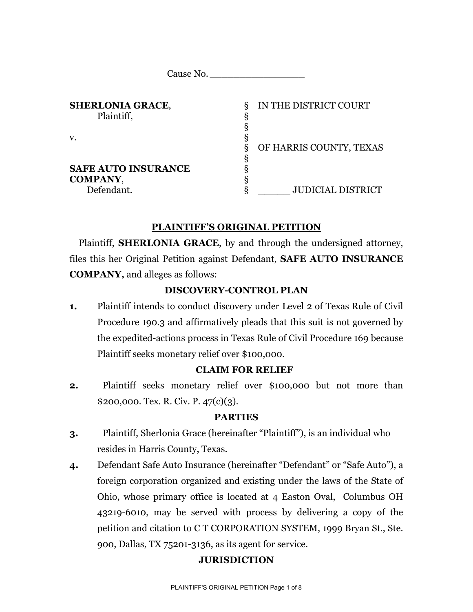| <b>SHERLONIA GRACE,</b><br>Plaintiff, | δ | IN THE DISTRICT COURT    |
|---------------------------------------|---|--------------------------|
|                                       |   |                          |
|                                       |   |                          |
|                                       | ξ | OF HARRIS COUNTY, TEXAS  |
|                                       |   |                          |
| <b>SAFE AUTO INSURANCE</b>            |   |                          |
| <b>COMPANY,</b>                       |   |                          |
| Defendant.                            |   | <b>JUDICIAL DISTRICT</b> |

# **PLAINTIFF'S ORIGINAL PETITION**

Plaintiff, **SHERLONIA GRACE**, by and through the undersigned attorney, files this her Original Petition against Defendant, **SAFE AUTO INSURANCE COMPANY,** and alleges as follows:

# **DISCOVERY-CONTROL PLAN**

**1.** Plaintiff intends to conduct discovery under Level 2 of Texas Rule of Civil Procedure 190.3 and affirmatively pleads that this suit is not governed by the expedited-actions process in Texas Rule of Civil Procedure 169 because Plaintiff seeks monetary relief over \$100,000.

# **CLAIM FOR RELIEF**

**2.** Plaintiff seeks monetary relief over \$100,000 but not more than \$200,000. Tex. R. Civ. P. 47(c)(3).

## **PARTIES**

- **3.** Plaintiff, Sherlonia Grace (hereinafter "Plaintiff"), is an individual who resides in Harris County, Texas.
- **4.** Defendant Safe Auto Insurance (hereinafter "Defendant" or "Safe Auto"), a foreign corporation organized and existing under the laws of the State of Ohio, whose primary office is located at 4 Easton Oval, Columbus OH 43219-6010, may be served with process by delivering a copy of the petition and citation to C T CORPORATION SYSTEM, 1999 Bryan St., Ste. 900, Dallas, TX 75201-3136, as its agent for service.

# **JURISDICTION**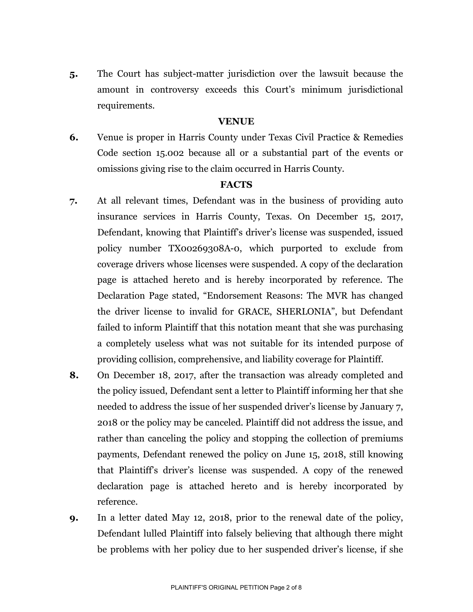**5.** The Court has subject-matter jurisdiction over the lawsuit because the amount in controversy exceeds this Court's minimum jurisdictional requirements.

## **VENUE**

**6.** Venue is proper in Harris County under Texas Civil Practice & Remedies Code section 15.002 because all or a substantial part of the events or omissions giving rise to the claim occurred in Harris County.

#### **FACTS**

- **7.** At all relevant times, Defendant was in the business of providing auto insurance services in Harris County, Texas. On December 15, 2017, Defendant, knowing that Plaintiff's driver's license was suspended, issued policy number TX00269308A-0, which purported to exclude from coverage drivers whose licenses were suspended. A copy of the declaration page is attached hereto and is hereby incorporated by reference. The Declaration Page stated, "Endorsement Reasons: The MVR has changed the driver license to invalid for GRACE, SHERLONIA", but Defendant failed to inform Plaintiff that this notation meant that she was purchasing a completely useless what was not suitable for its intended purpose of providing collision, comprehensive, and liability coverage for Plaintiff.
- **8.** On December 18, 2017, after the transaction was already completed and the policy issued, Defendant sent a letter to Plaintiff informing her that she needed to address the issue of her suspended driver's license by January 7, 2018 or the policy may be canceled. Plaintiff did not address the issue, and rather than canceling the policy and stopping the collection of premiums payments, Defendant renewed the policy on June 15, 2018, still knowing that Plaintiff's driver's license was suspended. A copy of the renewed declaration page is attached hereto and is hereby incorporated by reference.
- **9.** In a letter dated May 12, 2018, prior to the renewal date of the policy, Defendant lulled Plaintiff into falsely believing that although there might be problems with her policy due to her suspended driver's license, if she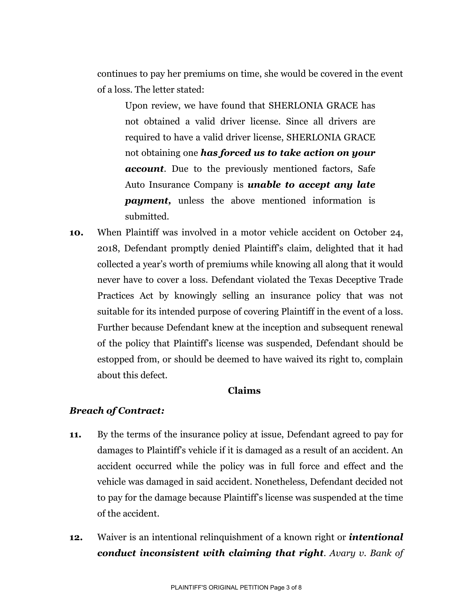continues to pay her premiums on time, she would be covered in the event of a loss. The letter stated:

Upon review, we have found that SHERLONIA GRACE has not obtained a valid driver license. Since all drivers are required to have a valid driver license, SHERLONIA GRACE not obtaining one *has forced us to take action on your account*. Due to the previously mentioned factors, Safe Auto Insurance Company is *unable to accept any late payment*, unless the above mentioned information is submitted.

**10.** When Plaintiff was involved in a motor vehicle accident on October 24, 2018, Defendant promptly denied Plaintiff's claim, delighted that it had collected a year's worth of premiums while knowing all along that it would never have to cover a loss. Defendant violated the Texas Deceptive Trade Practices Act by knowingly selling an insurance policy that was not suitable for its intended purpose of covering Plaintiff in the event of a loss. Further because Defendant knew at the inception and subsequent renewal of the policy that Plaintiff's license was suspended, Defendant should be estopped from, or should be deemed to have waived its right to, complain about this defect.

# **Claims**

# *Breach of Contract:*

- **11.** By the terms of the insurance policy at issue, Defendant agreed to pay for damages to Plaintiff's vehicle if it is damaged as a result of an accident. An accident occurred while the policy was in full force and effect and the vehicle was damaged in said accident. Nonetheless, Defendant decided not to pay for the damage because Plaintiff's license was suspended at the time of the accident.
- **12.** Waiver is an intentional relinquishment of a known right or *intentional conduct inconsistent with claiming that right*. *Avary v. Bank of*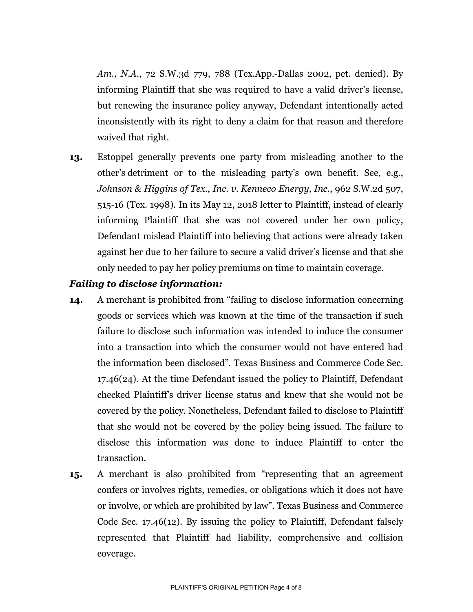*Am., N.A*., 72 S.W.3d 779, 788 (Tex.App.-Dallas 2002, pet. denied). By informing Plaintiff that she was required to have a valid driver's license, but renewing the insurance policy anyway, Defendant intentionally acted inconsistently with its right to deny a claim for that reason and therefore waived that right.

**13.** Estoppel generally prevents one party from misleading another to the other's detriment or to the misleading party's own benefit. See, e.g., *Johnson & Higgins of Tex., Inc. v. Kenneco Energy, Inc.*, 962 S.W.2d 507, 515-16 (Tex. 1998). In its May 12, 2018 letter to Plaintiff, instead of clearly informing Plaintiff that she was not covered under her own policy, Defendant mislead Plaintiff into believing that actions were already taken against her due to her failure to secure a valid driver's license and that she only needed to pay her policy premiums on time to maintain coverage.

## *Failing to disclose information:*

- **14.** A merchant is prohibited from "failing to disclose information concerning goods or services which was known at the time of the transaction if such failure to disclose such information was intended to induce the consumer into a transaction into which the consumer would not have entered had the information been disclosed". Texas Business and Commerce Code Sec. 17.46(24). At the time Defendant issued the policy to Plaintiff, Defendant checked Plaintiff's driver license status and knew that she would not be covered by the policy. Nonetheless, Defendant failed to disclose to Plaintiff that she would not be covered by the policy being issued. The failure to disclose this information was done to induce Plaintiff to enter the transaction.
- **15.** A merchant is also prohibited from "representing that an agreement confers or involves rights, remedies, or obligations which it does not have or involve, or which are prohibited by law". Texas Business and Commerce Code Sec. 17.46(12). By issuing the policy to Plaintiff, Defendant falsely represented that Plaintiff had liability, comprehensive and collision coverage.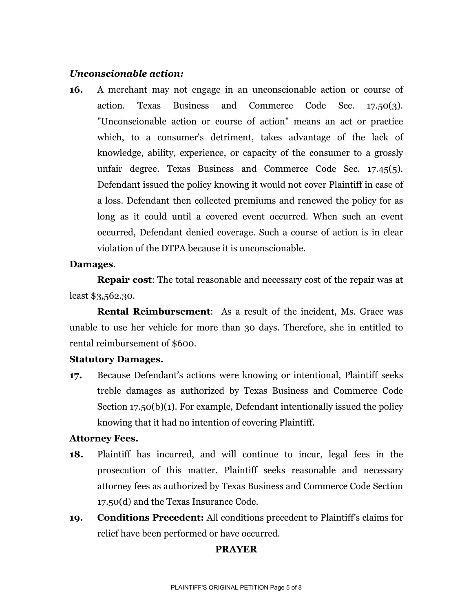## *Unconscionable action:*

**16.** A merchant may not engage in an unconscionable action or course of action. Texas Business and Commerce Code Sec. 17.50(3). "Unconscionable action or course of action" means an act or practice which, to a consumer's detriment, takes advantage of the lack of knowledge, ability, experience, or capacity of the consumer to a grossly unfair degree. Texas Business and Commerce Code Sec. 17.45(5). Defendant issued the policy knowing it would not cover Plaintiff in case of a loss. Defendant then collected premiums and renewed the policy for as long as it could until a covered event occurred. When such an event occurred, Defendant denied coverage. Such a course of action is in clear violation of the DTPA because it is unconscionable.

## **Damages**.

**Repair cost**: The total reasonable and necessary cost of the repair was at least \$3,562.30.

**Rental Reimbursement**: As a result of the incident, Ms. Grace was unable to use her vehicle for more than 30 days. Therefore, she in entitled to rental reimbursement of \$600.

## **Statutory Damages.**

**17.** Because Defendant's actions were knowing or intentional, Plaintiff seeks treble damages as authorized by Texas Business and Commerce Code Section 17.50(b)(1). For example, Defendant intentionally issued the policy knowing that it had no intention of covering Plaintiff.

## **Attorney Fees.**

- **18.** Plaintiff has incurred, and will continue to incur, legal fees in the prosecution of this matter. Plaintiff seeks reasonable and necessary attorney fees as authorized by Texas Business and Commerce Code Section 17.50(d) and the Texas Insurance Code.
- **19. Conditions Precedent:** All conditions precedent to Plaintiff's claims for relief have been performed or have occurred.

# **PRAYER**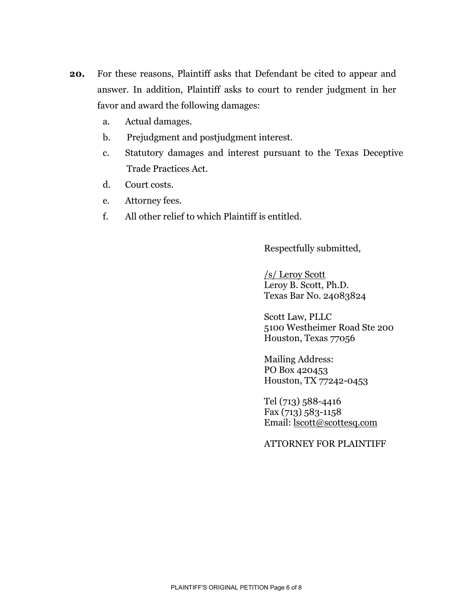- **20.** For these reasons, Plaintiff asks that Defendant be cited to appear and answer. In addition, Plaintiff asks to court to render judgment in her favor and award the following damages:
	- a. Actual damages.
	- b. Prejudgment and postjudgment interest.
	- c. Statutory damages and interest pursuant to the Texas Deceptive Trade Practices Act.
	- d. Court costs.
	- e. Attorney fees.
	- f. All other relief to which Plaintiff is entitled.

Respectfully submitted,

/s/ Leroy Scott Leroy B. Scott, Ph.D. Texas Bar No. 24083824

Scott Law, PLLC 5100 Westheimer Road Ste 200 Houston, Texas 77056

Mailing Address: PO Box 420453 Houston, TX 77242-0453

Tel (713) 588-4416 Fax (713) 583-1158 Email: [lscott@scottesq.com](mailto:lscott@scottesq.com)

ATTORNEY FOR PLAINTIFF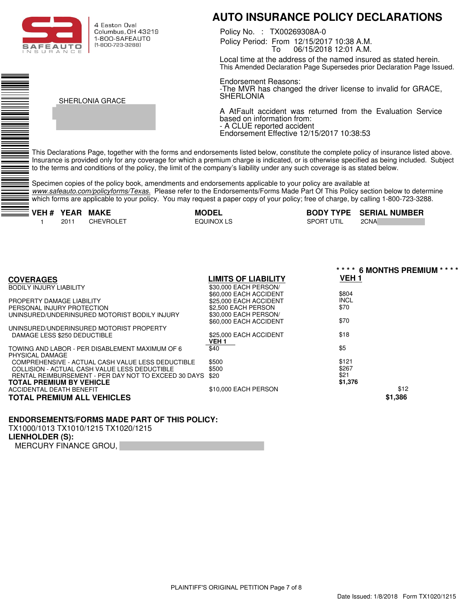

4 Faston Oval Columbus, OH 43219 1-800-SAFEAUTO (1-800-723-3288)

CHE MAIL.COM

SHERLONIA GRACE

# **AUTO INSURANCE POLICY DECLARATIONS**

Policy Period: From 12/15/2017 10:38 A.M. To 06/15/2018 12:01 A.M. Policy No. : TX00269308A-0

Local time at the address of the named insured as stated herein. This Amended Declaration Page Supersedes prior Declaration Page Issued.

Endorsement Reasons: -The MVR has changed the driver license to invalid for GRACE, SHERLONIA

A AtFault accident was returned from the Evaluation Service based on information from: - A CLUE reported accident Endorsement Effective 12/15/2017 10:38:53

This Declarations Page, together with the forms and endorsements listed below, constitute the complete policy of insurance listed above. Insurance is provided only for any coverage for which a premium charge is indicated, or is otherwise specified as being included. Subject to the terms and conditions of the policy, the limit of the company's liability under any such coverage is as stated below.

Specimen copies of the policy book, amendments and endorsements applicable to your policy are available at *www.safeauto.com/policyforms/Texas.* Please refer to the Endorsements/Forms Made Part Of This Policy section below to determine which forms are applicable to your policy. You may request a paper copy of your policy; free of charge, by calling 1-800-723-3288.

1 2011 CHEVROLET

EQUINOX LS<br>
SPORT UTIL
2CNA **VEH # YEAR MAKE MODEL BODY TYPE SERIAL NUMBER** 

|                        | **** 6 MONTHS PREMIUM ****                                                                                                                        |
|------------------------|---------------------------------------------------------------------------------------------------------------------------------------------------|
| LIMITS OF LIABILITY    | VEH <sub>1</sub>                                                                                                                                  |
| \$30,000 EACH PERSON/  |                                                                                                                                                   |
| \$60,000 EACH ACCIDENT | \$804                                                                                                                                             |
| \$25,000 EACH ACCIDENT | <b>INCL</b>                                                                                                                                       |
| \$2,500 EACH PERSON    | \$70                                                                                                                                              |
| \$30,000 EACH PERSON/  |                                                                                                                                                   |
| \$60,000 EACH ACCIDENT | \$70                                                                                                                                              |
|                        |                                                                                                                                                   |
|                        | \$18                                                                                                                                              |
|                        |                                                                                                                                                   |
|                        | \$5                                                                                                                                               |
|                        |                                                                                                                                                   |
|                        | \$121                                                                                                                                             |
|                        | \$267<br>\$21                                                                                                                                     |
|                        | \$1,376                                                                                                                                           |
|                        | \$12                                                                                                                                              |
|                        |                                                                                                                                                   |
|                        | \$1,386                                                                                                                                           |
|                        | \$25,000 EACH ACCIDENT<br>VEH 1<br>\$40<br>\$500<br>\$500<br>\$20<br>RENTAL REIMBURSEMENT - PER DAY NOT TO EXCEED 30 DAYS<br>\$10,000 EACH PERSON |

#### **ENDORSEMENTS/FORMS MADE PART OF THIS POLICY:**

TX1000/1013 TX1010/1215 TX1020/1215

#### **LIENHOLDER (S):**

MERCURY FINANCE GROU,